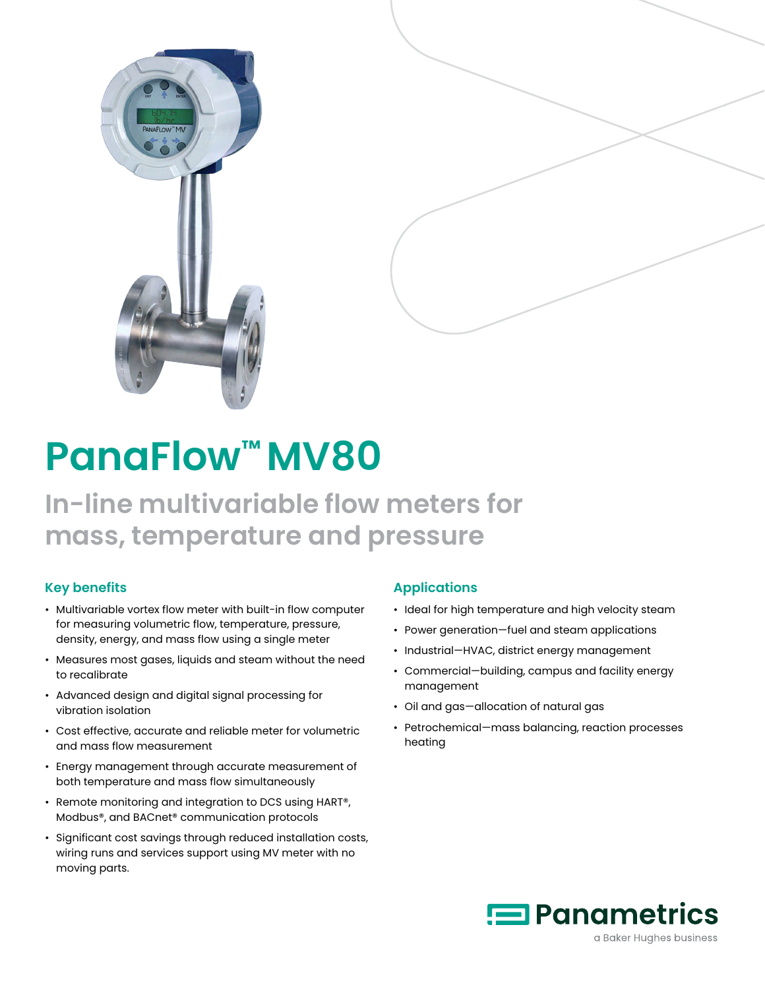



# **PanaFlow™ MV80**

## **In-line multivariable flow meters for mass, temperature and pressure**

### **Key benefits**

- Multivariable vortex flow meter with built-in flow computer for measuring volumetric flow, temperature, pressure, density, energy, and mass flow using a single meter
- Measures most gases, liquids and steam without the need to recalibrate
- Advanced design and digital signal processing for vibration isolation
- Cost effective, accurate and reliable meter for volumetric and mass flow measurement
- Energy management through accurate measurement of both temperature and mass flow simultaneously
- Remote monitoring and integration to DCS using HART®, Modbus®, and BACnet® communication protocols
- Significant cost savings through reduced installation costs, wiring runs and services support using MV meter with no moving parts.

### **Applications**

- Ideal for high temperature and high velocity steam
- Power generation—fuel and steam applications
- Industrial—HVAC, district energy management
- Commercial—building, campus and facility energy management
- Oil and gas—allocation of natural gas
- Petrochemical—mass balancing, reaction processes heating

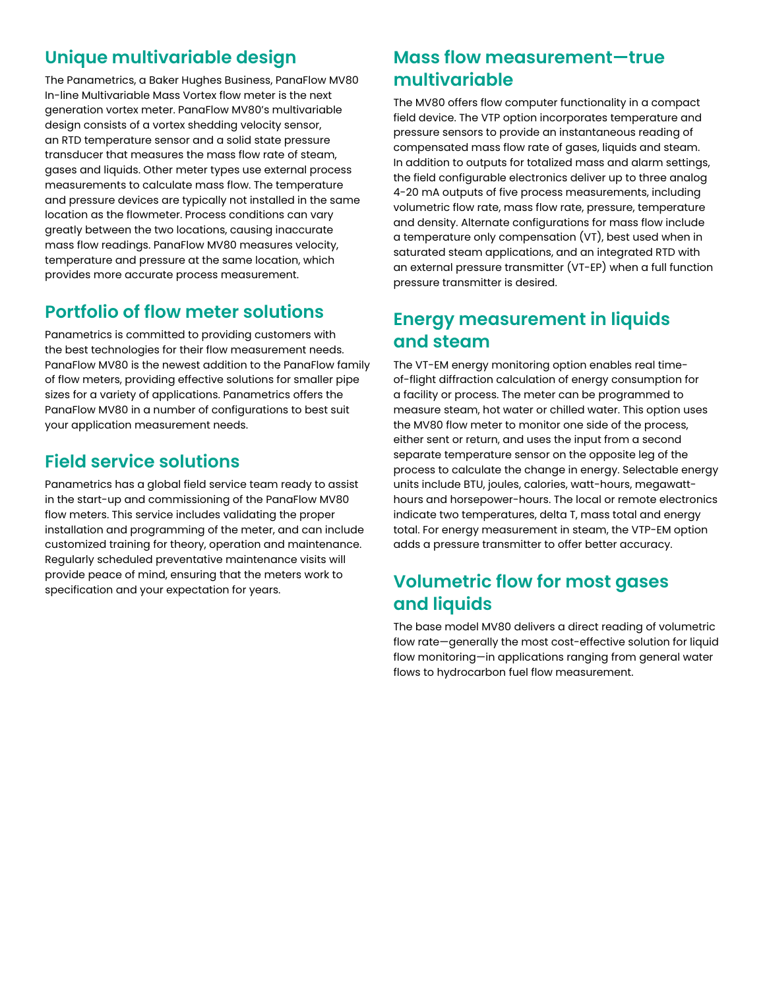### **Unique multivariable design**

The Panametrics, a Baker Hughes Business, PanaFlow MV80 In-line Multivariable Mass Vortex flow meter is the next generation vortex meter. PanaFlow MV80's multivariable design consists of a vortex shedding velocity sensor, an RTD temperature sensor and a solid state pressure transducer that measures the mass flow rate of steam, gases and liquids. Other meter types use external process measurements to calculate mass flow. The temperature and pressure devices are typically not installed in the same location as the flowmeter. Process conditions can vary greatly between the two locations, causing inaccurate mass flow readings. PanaFlow MV80 measures velocity, temperature and pressure at the same location, which provides more accurate process measurement.

### **Portfolio of flow meter solutions**

Panametrics is committed to providing customers with the best technologies for their flow measurement needs. PanaFlow MV80 is the newest addition to the PanaFlow family of flow meters, providing effective solutions for smaller pipe sizes for a variety of applications. Panametrics offers the PanaFlow MV80 in a number of configurations to best suit your application measurement needs.

### **Field service solutions**

Panametrics has a global field service team ready to assist in the start-up and commissioning of the PanaFlow MV80 flow meters. This service includes validating the proper installation and programming of the meter, and can include customized training for theory, operation and maintenance. Regularly scheduled preventative maintenance visits will provide peace of mind, ensuring that the meters work to specification and your expectation for years.

### **Mass flow measurement—true multivariable**

The MV80 offers flow computer functionality in a compact field device. The VTP option incorporates temperature and pressure sensors to provide an instantaneous reading of compensated mass flow rate of gases, liquids and steam. In addition to outputs for totalized mass and alarm settings, the field configurable electronics deliver up to three analog 4-20 mA outputs of five process measurements, including volumetric flow rate, mass flow rate, pressure, temperature and density. Alternate configurations for mass flow include a temperature only compensation (VT), best used when in saturated steam applications, and an integrated RTD with an external pressure transmitter (VT-EP) when a full function pressure transmitter is desired.

### **Energy measurement in liquids and steam**

The VT-EM energy monitoring option enables real timeof-flight diffraction calculation of energy consumption for a facility or process. The meter can be programmed to measure steam, hot water or chilled water. This option uses the MV80 flow meter to monitor one side of the process, either sent or return, and uses the input from a second separate temperature sensor on the opposite leg of the process to calculate the change in energy. Selectable energy units include BTU, joules, calories, watt-hours, megawatthours and horsepower-hours. The local or remote electronics indicate two temperatures, delta T, mass total and energy total. For energy measurement in steam, the VTP-EM option adds a pressure transmitter to offer better accuracy.

### **Volumetric flow for most gases and liquids**

The base model MV80 delivers a direct reading of volumetric flow rate—generally the most cost-effective solution for liquid flow monitoring—in applications ranging from general water flows to hydrocarbon fuel flow measurement.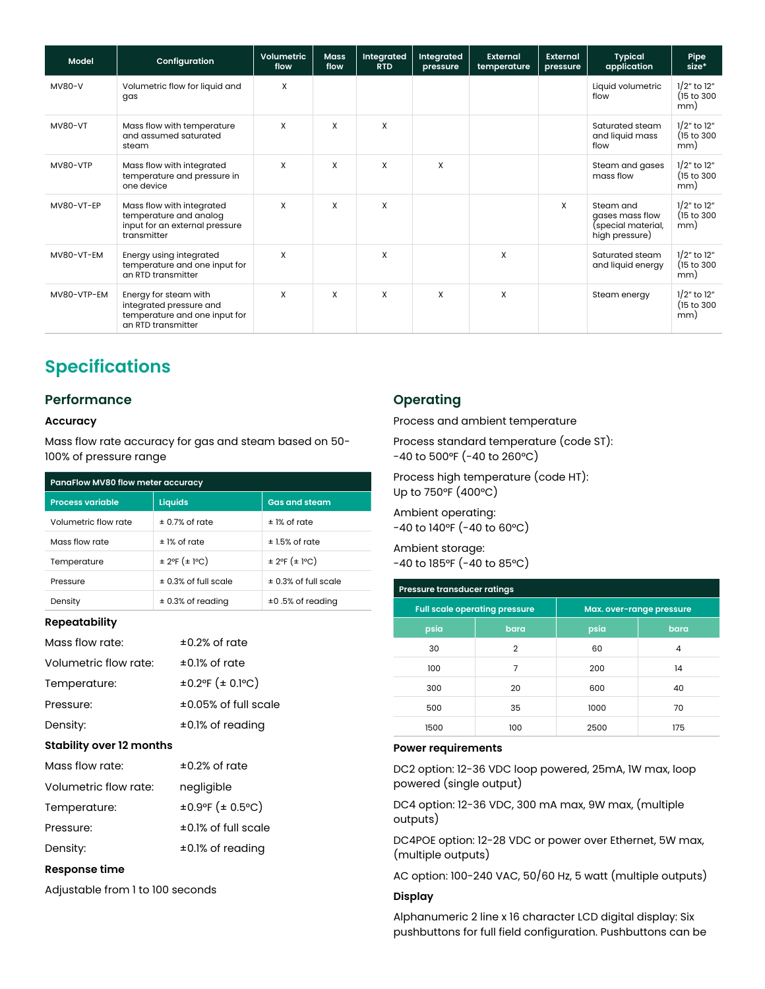| <b>Model</b>   | Configuration                                                                                           | Volumetric<br>flow        | <b>Mass</b><br>flow | Integrated<br><b>RTD</b> | Integrated<br>pressure | <b>External</b><br>temperature | External<br>pressure | <b>Typical</b><br>application                                        | Pipe<br>size*                           |
|----------------|---------------------------------------------------------------------------------------------------------|---------------------------|---------------------|--------------------------|------------------------|--------------------------------|----------------------|----------------------------------------------------------------------|-----------------------------------------|
| <b>MV80-V</b>  | Volumetric flow for liquid and<br>gas                                                                   | X                         |                     |                          |                        |                                |                      | Liquid volumetric<br>flow                                            | $1/2$ " to $12$ "<br>(15 to 300)<br>mm) |
| <b>MV80-VT</b> | Mass flow with temperature<br>and assumed saturated<br>steam                                            | X                         | X                   | X                        |                        |                                |                      | Saturated steam<br>and liquid mass<br>flow                           | $1/2$ " to $12$ "<br>(15 to 300)<br>mm) |
| MV80-VTP       | Mass flow with integrated<br>temperature and pressure in<br>one device                                  | X                         | X                   | X                        | X                      |                                |                      | Steam and gases<br>mass flow                                         | $1/2$ " to $12$ "<br>(15 to 300)<br>mm) |
| MV80-VT-EP     | Mass flow with integrated<br>temperature and analog<br>input for an external pressure<br>transmitter    | $\boldsymbol{\mathsf{x}}$ | X                   | X                        |                        |                                | X                    | Steam and<br>gases mass flow<br>(special material,<br>high pressure) | $1/2$ " to $12$ "<br>(15 to 300)<br>mm) |
| MV80-VT-EM     | Energy using integrated<br>temperature and one input for<br>an RTD transmitter                          | $\boldsymbol{\mathsf{x}}$ |                     | X                        |                        | X                              |                      | Saturated steam<br>and liquid energy                                 | $1/2$ " to $12$ "<br>(15 to 300)<br>mm) |
| MV80-VTP-EM    | Energy for steam with<br>integrated pressure and<br>temperature and one input for<br>an RTD transmitter | X                         | X                   | X                        | X                      | X                              |                      | Steam energy                                                         | $1/2$ " to $12$ "<br>(15 to 300)<br>mm) |

### **Specifications**

#### **Performance**

#### **Accuracy**

Mass flow rate accuracy for gas and steam based on 50- 100% of pressure range

| PanaFlow MV80 flow meter accuracy |                          |                          |  |  |  |  |  |  |
|-----------------------------------|--------------------------|--------------------------|--|--|--|--|--|--|
| <b>Process variable</b>           | Liquids                  | <b>Gas and steam</b>     |  |  |  |  |  |  |
| Volumetric flow rate              | $\pm$ 0.7% of rate       | ± 1% of rate             |  |  |  |  |  |  |
| Mass flow rate                    | $±$ 1% of rate           | $±1.5%$ of rate          |  |  |  |  |  |  |
| Temperature                       | ± 2°F (± 1°C)            | $± 2$ °F ( $± 1$ °C)     |  |  |  |  |  |  |
| Pressure                          | $\pm$ 0.3% of full scale | $\pm$ 0.3% of full scale |  |  |  |  |  |  |
| Density                           | $\pm$ 0.3% of reading    | ±0.5% of reading         |  |  |  |  |  |  |

#### **Repeatability**

| Mass flow rate:                 | $\pm 0.2\%$ of rate          |
|---------------------------------|------------------------------|
| Volumetric flow rate:           | $\pm 0.1\%$ of rate          |
| Temperature:                    | $\pm 0.2$ °F ( $\pm$ 0.1°C)  |
| Pressure:                       | $\pm 0.05\%$ of full scale   |
| Density:                        | $\pm 0.1\%$ of reading       |
| <b>Stability over 12 months</b> |                              |
| Mass flow rate:                 | $\pm 0.2\%$ of rate          |
| Volumetric flow rate:           | negligible                   |
| Temperature:                    | $\pm 0.9$ °F ( $\pm 0.5$ °C) |
| Pressure:                       | $\pm 0.1\%$ of full scale    |
| Density:                        | $\pm 0.1\%$ of reading       |
| r.                              |                              |

#### **Response time**

Adjustable from 1 to 100 seconds

#### **Operating**

Process and ambient temperature

Process standard temperature (code ST): -40 to 500°F (-40 to 260°C)

Process high temperature (code HT): Up to 750°F (400°C)

Ambient operating: -40 to 140°F (-40 to 60°C)

Ambient storage: -40 to 185°F (-40 to 85°C)

| Pressure transducer ratings |                                      |                          |      |  |  |  |  |  |  |
|-----------------------------|--------------------------------------|--------------------------|------|--|--|--|--|--|--|
|                             | <b>Full scale operating pressure</b> | Max. over-range pressure |      |  |  |  |  |  |  |
| psia                        | bara                                 | psia                     | bara |  |  |  |  |  |  |
| 30                          | $\overline{2}$                       | 60                       | 4    |  |  |  |  |  |  |
| 100                         | 7                                    | 200                      | 14   |  |  |  |  |  |  |
| 300                         | 20                                   | 600                      | 40   |  |  |  |  |  |  |
| 500                         | 35                                   | 1000                     | 70   |  |  |  |  |  |  |
| 1500                        | 100                                  | 2500                     | 175  |  |  |  |  |  |  |

#### **Power requirements**

DC2 option: 12-36 VDC loop powered, 25mA, 1W max, loop powered (single output)

DC4 option: 12-36 VDC, 300 mA max, 9W max, (multiple outputs)

DC4POE option: 12-28 VDC or power over Ethernet, 5W max, (multiple outputs)

AC option: 100-240 VAC, 50/60 Hz, 5 watt (multiple outputs)

#### **Display**

Alphanumeric 2 line x 16 character LCD digital display: Six pushbuttons for full field configuration. Pushbuttons can be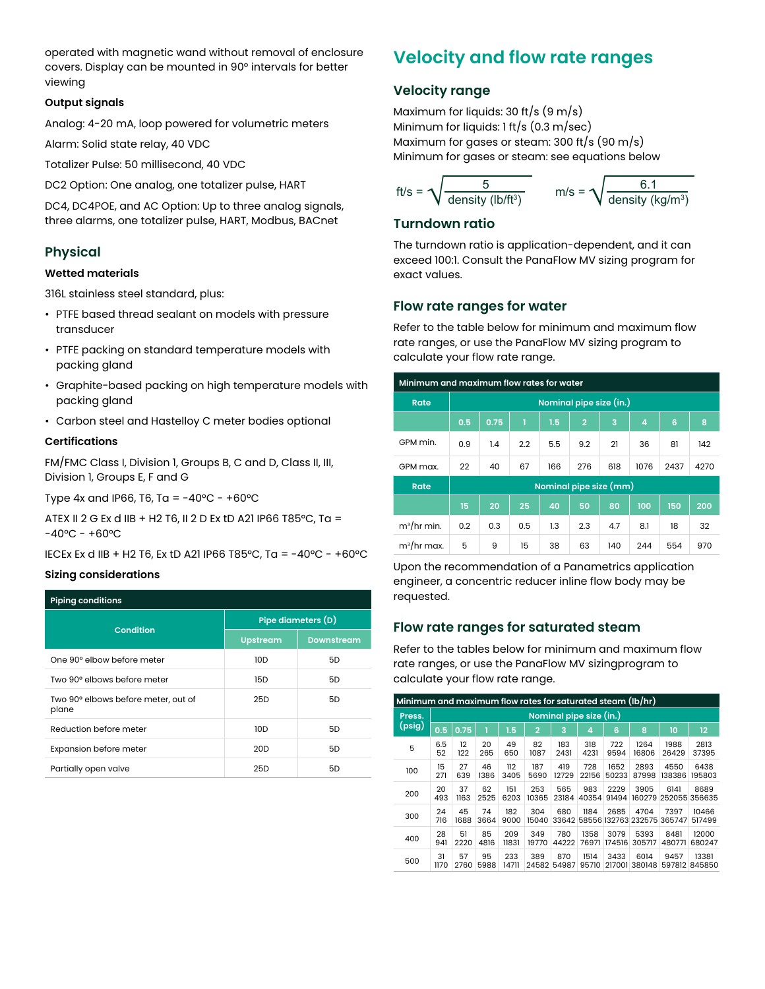operated with magnetic wand without removal of enclosure covers. Display can be mounted in 90° intervals for better viewing

#### **Output signals**

Analog: 4-20 mA, loop powered for volumetric meters

Alarm: Solid state relay, 40 VDC

Totalizer Pulse: 50 millisecond, 40 VDC

DC2 Option: One analog, one totalizer pulse, HART

DC4, DC4POE, and AC Option: Up to three analog signals, three alarms, one totalizer pulse, HART, Modbus, BACnet

#### **Physical**

#### **Wetted materials**

316L stainless steel standard, plus:

- PTFE based thread sealant on models with pressure transducer
- PTFE packing on standard temperature models with packing gland
- Graphite-based packing on high temperature models with packing gland
- Carbon steel and Hastelloy C meter bodies optional

#### **Certifications**

FM/FMC Class I, Division 1, Groups B, C and D, Class II, III, Division 1, Groups E, F and G

Type 4x and IP66, T6, Ta =  $-40^{\circ}$ C -  $+60^{\circ}$ C

ATEX II 2 G Ex d IIB + H2 T6, II 2 D Ex tD A21 IP66 T85°C, Ta =  $-40^{\circ}$ C -  $+60^{\circ}$ C

IECEx Ex d IIB + H2 T6, Ex tD A21 IP66 T85°C, Ta = -40°C - +60°C

#### **Sizing considerations**

| <b>Piping conditions</b>                     |                    |                   |  |  |  |  |  |  |
|----------------------------------------------|--------------------|-------------------|--|--|--|--|--|--|
|                                              | Pipe diameters (D) |                   |  |  |  |  |  |  |
| Condition                                    | <b>Upstream</b>    | <b>Downstream</b> |  |  |  |  |  |  |
| One 90° elbow before meter                   | 10D                | 5D                |  |  |  |  |  |  |
| Two 90° elbows before meter                  | 15D                | 5D                |  |  |  |  |  |  |
| Two 90° elbows before meter, out of<br>plane | 25D                | 5D                |  |  |  |  |  |  |
| Reduction before meter                       | 10D                | 5D                |  |  |  |  |  |  |
| Expansion before meter                       | 20 <sub>D</sub>    | 5D                |  |  |  |  |  |  |
| Partially open valve                         | 25 <sub>D</sub>    | 5D                |  |  |  |  |  |  |

### **Velocity and flow rate ranges**

#### **Velocity range**

Maximum for liquids: 30 ft/s  $(9 \text{ m/s})$ Minimum for liquids: 1 ft/s (0.3 m/sec) Maximum for gases or steam: 300 ft/s (90 m/s) Minimum for gases or steam: see equations below

$$
ft/s = \sqrt{\frac{5}{\text{density (lb/ft}^3)}} \qquad m/s = \sqrt{\frac{6.1}{\text{density (kg/m}^3)}}
$$

#### **Turndown ratio**

The turndown ratio is application-dependent, and it can exceed 100:1. Consult the PanaFlow MV sizing program for exact values.

#### **Flow rate ranges for water**

Refer to the table below for minimum and maximum flow rate ranges, or use the PanaFlow MV sizing program to calculate your flow rate range.

| Minimum and maximum flow rates for water |                         |      |     |                        |                |     |      |      |      |  |  |
|------------------------------------------|-------------------------|------|-----|------------------------|----------------|-----|------|------|------|--|--|
| Rate                                     | Nominal pipe size (in.) |      |     |                        |                |     |      |      |      |  |  |
|                                          | 0.5                     | 0.75 | ī   | 1.5                    | $\overline{2}$ | 3   | 4    | 6    | 8    |  |  |
| GPM min.                                 | 0.9                     | 1.4  | 2.2 | 5.5                    | 9.2            | 21  | 36   | 81   | 142  |  |  |
| GPM max.                                 | 22                      | 40   | 67  | 166                    | 276            | 618 | 1076 | 2437 | 4270 |  |  |
| <b>Rate</b>                              |                         |      |     | Nominal pipe size (mm) |                |     |      |      |      |  |  |
|                                          | 15                      | 20   | 25  | 40                     | 50             | 80  | 100  | 150  | 200  |  |  |
| $m^3$ /hr min.                           | 0.2                     | 0.3  | 0.5 | 1.3                    | 2.3            | 4.7 | 8.1  | 18   | 32   |  |  |
| $m^3$ /hr max.                           | 5                       | 9    | 15  | 38                     | 63             | 140 | 244  | 554  | 970  |  |  |

Upon the recommendation of a Panametrics application engineer, a concentric reducer inline flow body may be requested.

#### **Flow rate ranges for saturated steam**

Refer to the tables below for minimum and maximum flow rate ranges, or use the PanaFlow MV sizingprogram to calculate your flow rate range.

| Minimum and maximum flow rates for saturated steam (lb/hr) |                         |            |            |              |                |              |               |                |                             |                |                        |  |  |
|------------------------------------------------------------|-------------------------|------------|------------|--------------|----------------|--------------|---------------|----------------|-----------------------------|----------------|------------------------|--|--|
| Press.                                                     | Nominal pipe size (in.) |            |            |              |                |              |               |                |                             |                |                        |  |  |
| (psig)                                                     | 0.5                     | 0.75       |            | 1.5          | $\overline{2}$ | 3            | 4             | 6              | 8                           | 10             | 12                     |  |  |
| 5                                                          | 6.5<br>52               | 12<br>122  | 20<br>265  | 49<br>650    | 82<br>1087     | 183<br>2431  | 318<br>4231   | 722<br>9594    | 1264<br>16806               | 1988<br>26429  | 2813<br>37395          |  |  |
| 100                                                        | 15<br>271               | 27<br>639  | 46<br>1386 | 112<br>3405  | 187<br>5690    | 419<br>12729 | 728<br>22156  | 1652<br>50233  | 2893<br>87998               | 4550<br>138386 | 6438<br>195803         |  |  |
| 200                                                        | 20<br>493               | 37<br>1163 | 62<br>2525 | 151<br>6203  | 253<br>10365   | 565<br>23184 | 983<br>40354  | 2229<br>91494  | 3905<br>160279              | 6141<br>252055 | 8689<br>356635         |  |  |
| 300                                                        | 24<br>716               | 45<br>1688 | 74<br>3664 | 182<br>9000  | 304<br>15040   | 680<br>33642 | 1184          | 2685           | 4704<br>58556 132763 232575 | 7397<br>365747 | 10466<br>517499        |  |  |
| 400                                                        | 28<br>941               | 51<br>2220 | 85<br>4816 | 209<br>11831 | 349<br>19770   | 780<br>44222 | 1358<br>76971 | 3079<br>174516 | 5393<br>305717              | 8481<br>480771 | 12000<br>680247        |  |  |
| 500                                                        | 31<br>1170              | 57<br>2760 | 95<br>5988 | 233<br>14711 | 389<br>24582   | 870<br>54987 | 1514<br>95710 | 3433<br>217001 | 6014<br>380148              | 9457           | 13381<br>597812 845850 |  |  |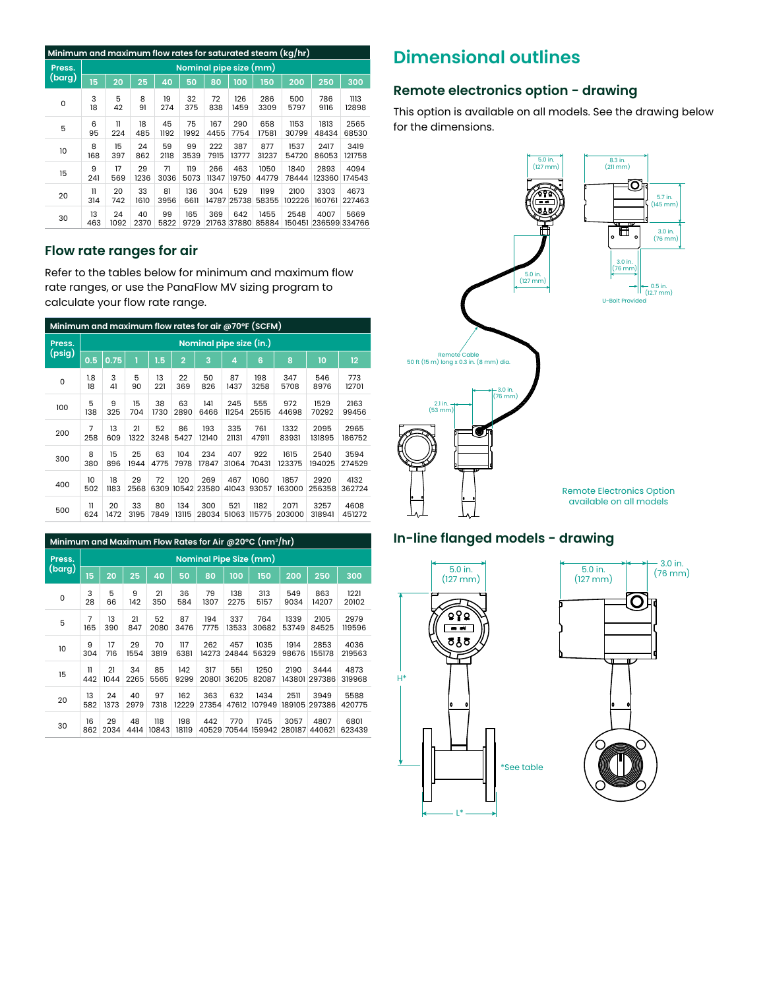|        | Minimum and maximum flow rates for saturated steam (kg/hr) |            |            |            |             |       |                    |               |        |                              |        |  |  |
|--------|------------------------------------------------------------|------------|------------|------------|-------------|-------|--------------------|---------------|--------|------------------------------|--------|--|--|
| Press. | Nominal pipe size (mm)                                     |            |            |            |             |       |                    |               |        |                              |        |  |  |
| (barg) | 15                                                         | 20         | 25         | 40         | 50          | 80    | 100                | 150           | 200    | 250                          | 300    |  |  |
| 0      | 3                                                          | 5          | 8          | 19         | 32          | 72    | 126                | 286           | 500    | 786                          | 1113   |  |  |
|        | 18                                                         | 42         | 91         | 274        | 375         | 838   | 1459               | 3309          | 5797   | 9116                         | 12898  |  |  |
| 5      | 6                                                          | 11         | 18         | 45         | 75          | 167   | 290                | 658           | 1153   | 1813                         | 2565   |  |  |
|        | 95                                                         | 224        | 485        | 1192       | 1992        | 4455  | 7754               | 17581         | 30799  | 48434                        | 68530  |  |  |
| 10     | 8                                                          | 15         | 24         | 59         | 99          | 222   | 387                | 877           | 1537   | 2417                         | 3419   |  |  |
|        | 168                                                        | 397        | 862        | 2118       | 3539        | 7915  | 13777              | 31237         | 54720  | 86053                        | 121758 |  |  |
| 15     | 9                                                          | 17         | 29         | 71         | 119         | 266   | 463                | 1050          | 1840   | 2893                         | 4094   |  |  |
|        | 241                                                        | 569        | 1236       | 3036       | 5073        | 11347 | 19750              | 44779         | 78444  | 123360                       | 174543 |  |  |
| 20     | $\mathbf{u}$                                               | 20         | 33         | 81         | 136         | 304   | 529                | 1199          | 2100   | 3303                         | 4673   |  |  |
|        | 314                                                        | 742        | 1610       | 3956       | 6611        | 14787 | 25738              | 58355         | 102226 | 160761                       | 227463 |  |  |
| 30     | 13<br>463                                                  | 24<br>1092 | 40<br>2370 | 99<br>5822 | 165<br>9729 | 369   | 642<br>21763 37880 | 1455<br>85884 | 2548   | 4007<br>150451 236599 334766 | 5669   |  |  |

#### **Flow rate ranges for air**

Refer to the tables below for minimum and maximum flow rate ranges, or use the PanaFlow MV sizing program to calculate your flow rate range.

| Minimum and maximum flow rates for air @70°F (SCFM) |                         |            |            |            |                |              |              |                |                |                |                   |  |
|-----------------------------------------------------|-------------------------|------------|------------|------------|----------------|--------------|--------------|----------------|----------------|----------------|-------------------|--|
| Press.                                              | Nominal pipe size (in.) |            |            |            |                |              |              |                |                |                |                   |  |
| (psig)                                              | 0.5                     | 0.75       | 1          | 1.5        | $\overline{2}$ | 3            | 4            | 6              | 8              | 10             | $12 \overline{ }$ |  |
| 0                                                   | 1.8<br>18               | 3<br>41    | 5<br>90    | 13<br>221  | 22<br>369      | 50<br>826    | 87<br>1437   | 198<br>3258    | 347<br>5708    | 546<br>8976    | 773<br>12701      |  |
| 100                                                 | 5<br>138                | 9<br>325   | 15<br>704  | 38<br>1730 | 63<br>2890     | 141<br>6466  | 245<br>11254 | 555<br>25515   | 972<br>44698   | 1529<br>70292  | 2163<br>99456     |  |
| 200                                                 | 7<br>258                | 13<br>609  | 21<br>1322 | 52<br>3248 | 86<br>5427     | 193<br>12140 | 335<br>21131 | 761<br>47911   | 1332<br>83931  | 2095<br>131895 | 2965<br>186752    |  |
| 300                                                 | 8<br>380                | 15<br>896  | 25<br>1944 | 63<br>4775 | 104<br>7978    | 234<br>17847 | 407<br>31064 | 922<br>70431   | 1615<br>123375 | 2540<br>194025 | 3594<br>274529    |  |
| 400                                                 | 10<br>502               | 18<br>1183 | 29<br>2568 | 72<br>6309 | 120<br>10542   | 269<br>23580 | 467<br>41043 | 1060<br>93057  | 1857<br>163000 | 2920<br>256358 | 4132<br>362724    |  |
| 500                                                 | 11<br>624               | 20<br>1472 | 33<br>3195 | 80<br>7849 | 134<br>13115   | 300<br>28034 | 521<br>51063 | 1182<br>115775 | 2071<br>203000 | 3257<br>318941 | 4608<br>451272    |  |

|        | Minimum and Maximum Flow Rates for Air @20°C (nm <sup>3</sup> /hr) |                        |            |            |              |              |              |              |                      |                |                |                |  |  |
|--------|--------------------------------------------------------------------|------------------------|------------|------------|--------------|--------------|--------------|--------------|----------------------|----------------|----------------|----------------|--|--|
|        | Press.                                                             | Nominal Pipe Size (mm) |            |            |              |              |              |              |                      |                |                |                |  |  |
| (barg) |                                                                    | 15                     | 20         | 25         | 40           | 50           | 80           | 100          | 150                  | 200            | 250            | 300            |  |  |
|        | 0                                                                  | 3<br>28                | 5<br>66    | 9<br>142   | 21<br>350    | 36<br>584    | 79<br>1307   | 138<br>2275  | 313<br>5157          | 549<br>9034    | 863<br>14207   | 1221<br>20102  |  |  |
|        | 5                                                                  | 7<br>165               | 13<br>390  | 21<br>847  | 52<br>2080   | 87<br>3476   | 194<br>7775  | 337<br>13533 | 764<br>30682         | 1339<br>53749  | 2105<br>84525  | 2979<br>119596 |  |  |
|        | 10                                                                 | 9<br>304               | 17<br>716  | 29<br>1554 | 70<br>3819   | 117<br>6381  | 262<br>14273 | 457<br>24844 | 1035<br>56329        | 1914<br>98676  | 2853<br>155178 | 4036<br>219563 |  |  |
|        | 15                                                                 | 11<br>442              | 21<br>1044 | 34<br>2265 | 85<br>5565   | 142<br>9299  | 317<br>20801 | 551<br>36205 | 1250<br>82087        | 2190<br>143801 | 3444<br>297386 | 4873<br>319968 |  |  |
|        | 20                                                                 | 13<br>582              | 24<br>1373 | 40<br>2979 | 97<br>7318   | 162<br>12229 | 363<br>27354 | 632<br>47612 | 1434<br>107949       | 2511<br>189105 | 3949<br>297386 | 5588<br>420775 |  |  |
|        | 30                                                                 | 16<br>862              | 29<br>2034 | 48<br>4414 | 118<br>10843 | 198<br>18119 | 442<br>40529 | 770          | 1745<br>70544 159942 | 3057<br>280187 | 4807<br>440621 | 6801<br>623439 |  |  |

### **Dimensional outlines**

#### **Remote electronics option - drawing**

This option is available on all models. See the drawing below for the dimensions.



#### **In-line flanged models - drawing**



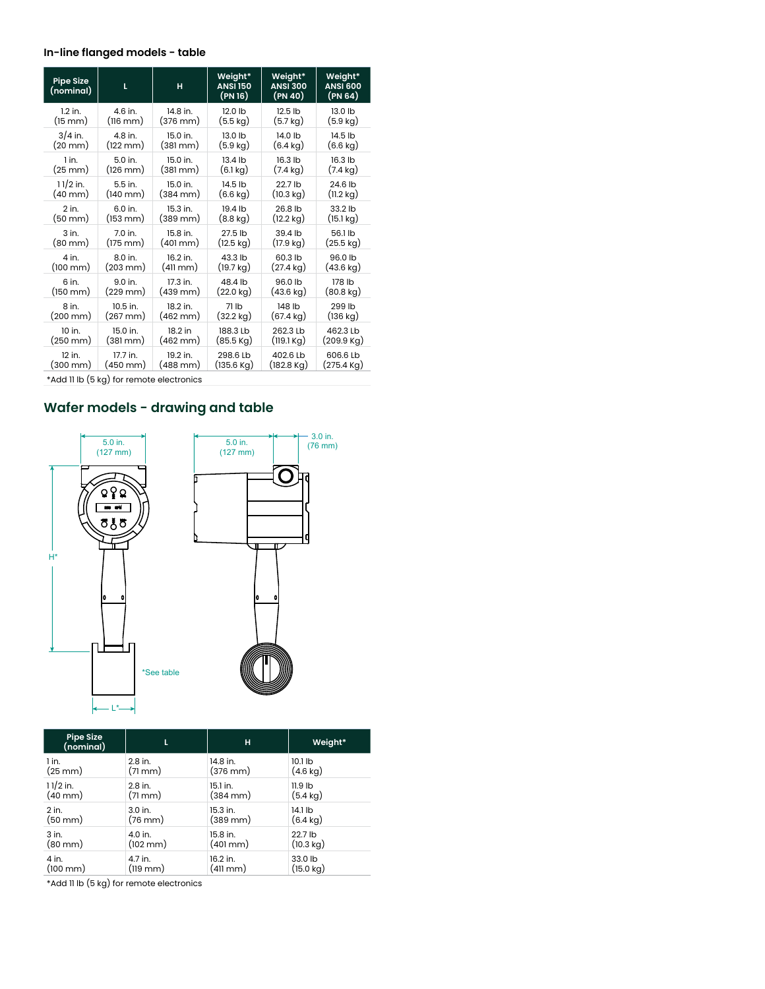#### **In-line flanged models - table**

| <b>Pipe Size</b><br>(nominal) | L                    | H                    | Weight*<br><b>ANSI 150</b><br>(PN 16) | Weight*<br><b>ANSI 300</b><br>(PN 40) | Weight*<br><b>ANSI 600</b><br>(PN 64) |
|-------------------------------|----------------------|----------------------|---------------------------------------|---------------------------------------|---------------------------------------|
| $1.2$ in.                     | 4.6 in.              | 14.8 in.             | 12.0 lb                               | 12.5 lb                               | 13.0 lb                               |
| $(15 \text{ mm})$             | $(116 \text{ mm})$   | (376 mm)             | (5.5 kg)                              | (5.7 kg)                              | $(5.9 \text{ kg})$                    |
| $3/4$ in.                     | 4.8 in.              | 15.0 in.             | $13.0$ lb                             | 14.0 lb                               | 14.5 lb                               |
| (20 mm)                       | $(122 \, \text{mm})$ | $(381 \text{ mm})$   | $(5.9 \text{ kg})$                    | (6.4 kg)                              | $(6.6 \text{ kg})$                    |
| 1 in.                         | $5.0$ in.            | 15.0 in.             | $13.4$ lb                             | 16.3 lb                               | 16.3 lb                               |
| $(25 \text{ mm})$             | $(126 \, \text{mm})$ | $(381 \text{ mm})$   | $(6.1 \,\mathrm{kg})$                 | (7.4 kg)                              | $(7.4 \text{ kg})$                    |
| $11/2$ in.                    | $5.5$ in.            | 15.0 in.             | 14.5 lb                               | 22.7 lb                               | 24.6 lb                               |
| $(40 \text{ mm})$             | $(140 \, \text{mm})$ | $(384 \text{ mm})$   | $(6.6 \text{ kg})$                    | $(10.3 \text{ kg})$                   | $(11.2 \text{ kg})$                   |
| $2$ in.                       | 6.0 in.              | 15.3 in.             | 19.4 lb                               | 26.8 lb                               | 33.2 lb                               |
| $(50 \text{ mm})$             | (153 mm)             | $(389 \, \text{mm})$ | $(8.8 \text{ kg})$                    | $(12.2 \text{ kg})$                   | (15.1 kg)                             |
| $3$ in.                       | 7.0 in.              | 15.8 in.             | 27.5 lb                               | 39.4 lb                               | 56.1 lb                               |
| $(80 \text{ mm})$             | (175 mm)             | (401 mm)             | $(12.5 \text{ kg})$                   | (17.9 kg)                             | $(25.5 \text{ kg})$                   |
| 4 in.                         | 8.0 in.              | 16.2 in.             | 43.3 lb                               | 60.3 lb                               | 96.0 lb                               |
| $(100 \, \text{mm})$          | $(203 \, \text{mm})$ | $(411 \text{ mm})$   | $(19.7 \text{ kg})$                   | (27.4 kg)                             | $(43.6 \text{ kg})$                   |
| 6 in.                         | $9.0$ in.            | 17.3 in.             | 48.4 lb                               | 96.0 lb                               | 178 lb                                |
| $(150 \, \text{mm})$          | (229 mm)             | $(439 \text{ mm})$   | $(22.0 \text{ kg})$                   | $(43.6 \text{ kg})$                   | $(80.8 \text{ kg})$                   |
| 8 in.                         | 10.5 in.             | 18.2 in.             | 71 lb                                 | 148 lb                                | 299 lb                                |
| $(200 \, \text{mm})$          | (267 mm)             | $(462 \, \text{mm})$ | $(32.2 \text{ kg})$                   | $(67.4 \text{ kg})$                   | $(136 \text{ kg})$                    |
| 10 in.                        | 15.0 in.             | 18.2 in              | 188.3 Lb                              | 262.3 Lb                              | 462.3 Lb                              |
| $(250 \, \text{mm})$          | (381 mm)             | $(462 \, \text{mm})$ | $(85.5 \text{ Kg})$                   | $(119.1 \,\mathrm{Kg})$               | $(209.9 \text{ Kg})$                  |
| 12 in.                        | 17.7 in.             | 19.2 in.             | 298.6 Lb                              | 402.6 Lb                              | 606.6 Lb                              |
| $(300 \, \text{mm})$          | (450 mm)             | (488 mm)             | $(135.6 \text{ Kg})$                  | (182.8 Kg)                            | $(275.4 \text{ Kg})$                  |

\*Add 11 lb (5 kg) for remote electronics

### **Wafer models - drawing and table**



| <b>Pipe Size</b><br>(nominal) | L                    | н                    | Weight*             |
|-------------------------------|----------------------|----------------------|---------------------|
| 1 in.                         | 2.8 in.              | 14.8 in.             | $10.1$ lb           |
| $(25 \text{ mm})$             | (71mm)               | $(376 \text{ mm})$   | $(4.6 \text{ kg})$  |
| $11/2$ in.                    | 2.8 in.              | 15.1 in.             | $11.9$ lb           |
| $(40 \text{ mm})$             | (71mm)               | $(384 \, \text{mm})$ | (5.4 kg)            |
| 2 in.                         | 3.0 in.              | 15.3 in.             | 14.1 lb             |
| $(50 \text{ mm})$             | $(76 \text{ mm})$    | (389 mm)             | (6.4 kg)            |
| 3 in.                         | 4.0 in.              | 15.8 in.             | 22.7 lb             |
| $(80 \text{ mm})$             | $(102 \, \text{mm})$ | $(401 \text{ mm})$   | $(10.3 \text{ kg})$ |
| 4 in.                         | 4.7 in.              | 16.2 in.             | 33.0 lb             |
| $(100 \, \text{mm})$          | (119 mm)             | (411 mm)             | $(15.0 \text{ kg})$ |

\*Add 11 lb (5 kg) for remote electronics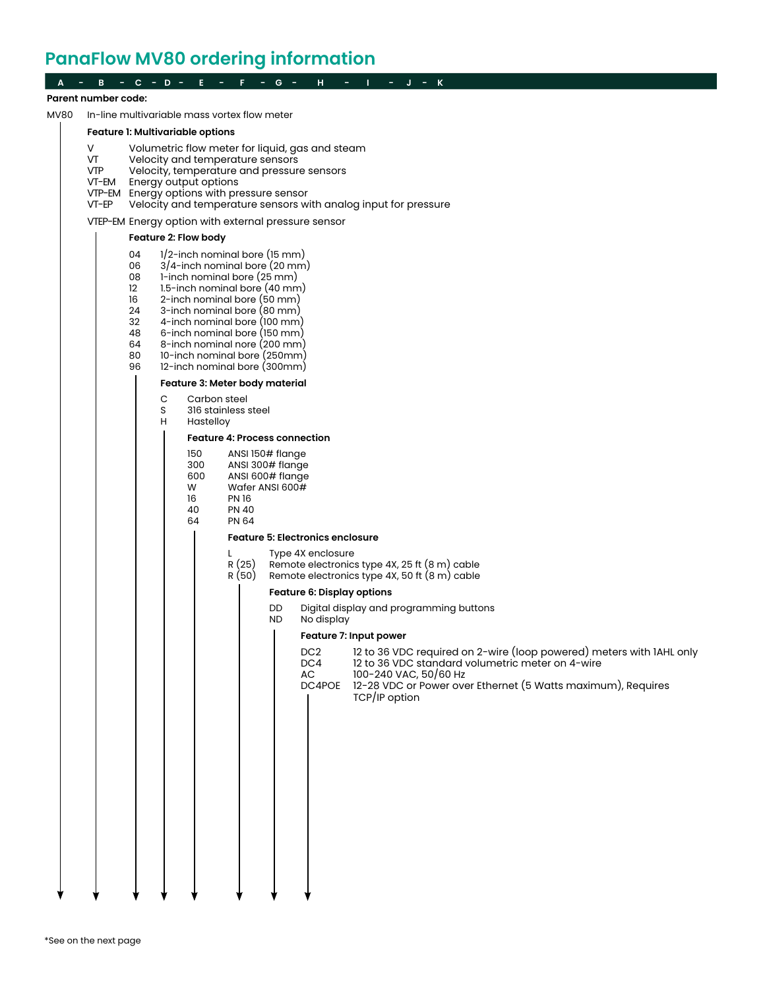### **PanaFlow MV80 ordering information**

|             | Parent number code:                                                                                                                                                                                                                                                                                                                                                                                                                                                                                                                                                                                                                                                                                                                                                                                                                                                                                                                                                                                                                                                                                                                                                                                                                                                                                                                                                                      |  |  |  |  |  |  |  |  |  |  |  |  |
|-------------|------------------------------------------------------------------------------------------------------------------------------------------------------------------------------------------------------------------------------------------------------------------------------------------------------------------------------------------------------------------------------------------------------------------------------------------------------------------------------------------------------------------------------------------------------------------------------------------------------------------------------------------------------------------------------------------------------------------------------------------------------------------------------------------------------------------------------------------------------------------------------------------------------------------------------------------------------------------------------------------------------------------------------------------------------------------------------------------------------------------------------------------------------------------------------------------------------------------------------------------------------------------------------------------------------------------------------------------------------------------------------------------|--|--|--|--|--|--|--|--|--|--|--|--|
| <b>MV80</b> | In-line multivariable mass vortex flow meter                                                                                                                                                                                                                                                                                                                                                                                                                                                                                                                                                                                                                                                                                                                                                                                                                                                                                                                                                                                                                                                                                                                                                                                                                                                                                                                                             |  |  |  |  |  |  |  |  |  |  |  |  |
|             | Feature 1: Multivariable options                                                                                                                                                                                                                                                                                                                                                                                                                                                                                                                                                                                                                                                                                                                                                                                                                                                                                                                                                                                                                                                                                                                                                                                                                                                                                                                                                         |  |  |  |  |  |  |  |  |  |  |  |  |
| V.          | Volumetric flow meter for liquid, gas and steam<br>VT<br>Velocity and temperature sensors<br><b>VTP</b><br>Velocity, temperature and pressure sensors<br>VT-EM<br>Energy output options<br>VTP-EM Energy options with pressure sensor<br>VT-EP<br>Velocity and temperature sensors with analog input for pressure                                                                                                                                                                                                                                                                                                                                                                                                                                                                                                                                                                                                                                                                                                                                                                                                                                                                                                                                                                                                                                                                        |  |  |  |  |  |  |  |  |  |  |  |  |
|             | VTEP-EM Energy option with external pressure sensor                                                                                                                                                                                                                                                                                                                                                                                                                                                                                                                                                                                                                                                                                                                                                                                                                                                                                                                                                                                                                                                                                                                                                                                                                                                                                                                                      |  |  |  |  |  |  |  |  |  |  |  |  |
|             | Feature 2: Flow body                                                                                                                                                                                                                                                                                                                                                                                                                                                                                                                                                                                                                                                                                                                                                                                                                                                                                                                                                                                                                                                                                                                                                                                                                                                                                                                                                                     |  |  |  |  |  |  |  |  |  |  |  |  |
|             | $1/2$ -inch nominal bore (15 mm)<br>04<br>3/4-inch nominal bore (20 mm)<br>06<br>1-inch nominal bore (25 mm)<br>08<br>1.5-inch nominal bore (40 mm)<br>12<br>16<br>2-inch nominal bore (50 mm)<br>24<br>3-inch nominal bore (80 mm)<br>32<br>4-inch nominal bore (100 mm)<br>48<br>6-inch nominal bore (150 mm)<br>64<br>8-inch nominal nore (200 mm)<br>80<br>10-inch nominal bore (250mm)<br>96<br>12-inch nominal bore (300mm)<br>Feature 3: Meter body material<br>С<br>Carbon steel<br>S<br>316 stainless steel<br>н<br>Hastelloy<br><b>Feature 4: Process connection</b><br>150<br>ANSI 150# flange<br>300<br>ANSI 300# flange<br>600<br>ANSI 600# flange<br>W<br>Wafer ANSI 600#<br><b>PN16</b><br>16<br>40<br><b>PN 40</b><br>64<br><b>PN 64</b><br><b>Feature 5: Electronics enclosure</b><br>Type 4X enclosure<br>L<br>R (25)<br>Remote electronics type 4X, 25 ft (8 m) cable<br>R (50)<br>Remote electronics type 4X, 50 ft (8 m) cable<br><b>Feature 6: Display options</b><br>Digital display and programming buttons<br>DD<br>ND.<br>No display<br>$\mathbf{I}$<br>Feature 7: Input power<br>12 to 36 VDC required on 2-wire (loop powered) meters with IAHL only<br>DC <sub>2</sub><br>12 to 36 VDC standard volumetric meter on 4-wire<br>DC4<br>100-240 VAC, 50/60 Hz<br>AC<br>12-28 VDC or Power over Ethernet (5 Watts maximum), Requires<br>DC4POE<br>TCP/IP option |  |  |  |  |  |  |  |  |  |  |  |  |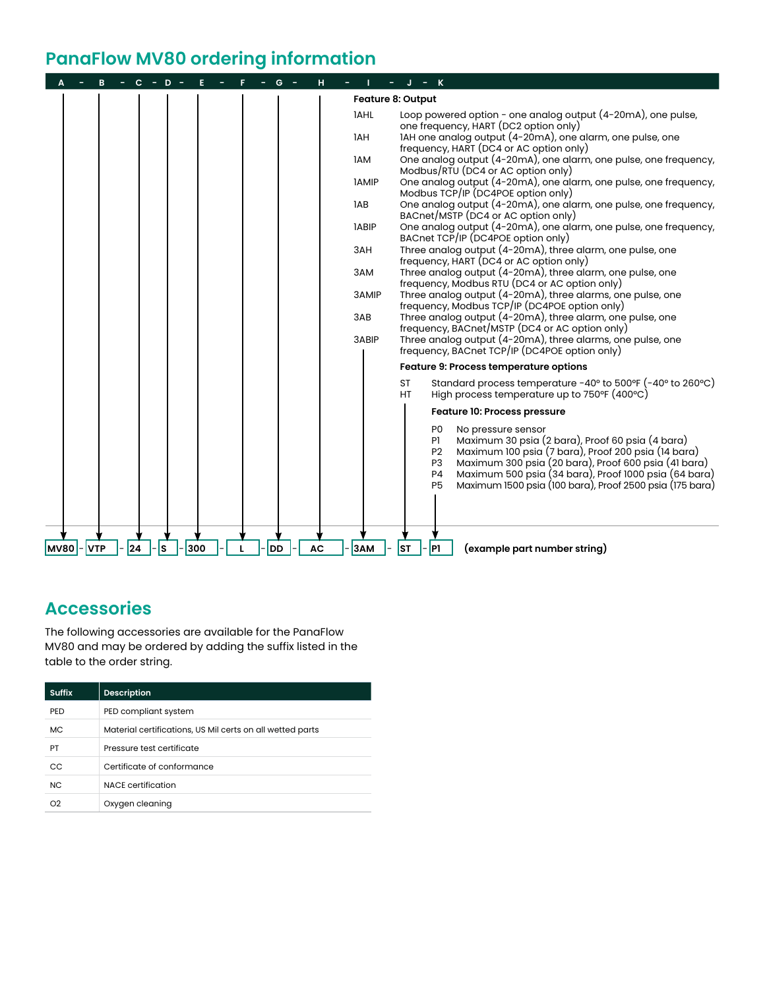### **PanaFlow MV80 ordering information**

|                 |         |     |     |    |           |              | – K                                                                                                                                                                                                                                                                                                                                                                 |
|-----------------|---------|-----|-----|----|-----------|--------------|---------------------------------------------------------------------------------------------------------------------------------------------------------------------------------------------------------------------------------------------------------------------------------------------------------------------------------------------------------------------|
|                 |         |     |     |    |           |              | <b>Feature 8: Output</b>                                                                                                                                                                                                                                                                                                                                            |
|                 |         |     |     |    |           | <b>IAHL</b>  | Loop powered option - one analog output (4-20mA), one pulse,<br>one frequency, HART (DC2 option only)                                                                                                                                                                                                                                                               |
|                 |         |     |     |    |           | 1AH          | IAH one analog output (4-20mA), one alarm, one pulse, one<br>frequency, HART (DC4 or AC option only)                                                                                                                                                                                                                                                                |
|                 |         |     |     |    |           | 1AM          | One analog output (4-20mA), one alarm, one pulse, one frequency,<br>Modbus/RTU (DC4 or AC option only)                                                                                                                                                                                                                                                              |
|                 |         |     |     |    |           | <b>IAMIP</b> | One analog output (4-20mA), one alarm, one pulse, one frequency,<br>Modbus TCP/IP (DC4POE option only)                                                                                                                                                                                                                                                              |
|                 |         |     |     |    |           | 1AB          | One analog output (4-20mA), one alarm, one pulse, one frequency,<br>BACnet/MSTP (DC4 or AC option only)                                                                                                                                                                                                                                                             |
|                 |         |     |     |    |           | <b>IABIP</b> | One analog output (4-20mA), one alarm, one pulse, one frequency,<br>BACnet TCP/IP (DC4POE option only)                                                                                                                                                                                                                                                              |
|                 |         |     |     |    |           | 3AH          | Three analog output (4-20mA), three alarm, one pulse, one<br>frequency, HART (DC4 or AC option only)                                                                                                                                                                                                                                                                |
|                 |         |     |     |    |           | 3AM          | Three analog output (4-20mA), three alarm, one pulse, one<br>frequency, Modbus RTU (DC4 or AC option only)                                                                                                                                                                                                                                                          |
|                 |         |     |     |    |           | 3AMIP        | Three analog output (4-20mA), three alarms, one pulse, one<br>frequency, Modbus TCP/IP (DC4POE option only)                                                                                                                                                                                                                                                         |
|                 |         |     |     |    |           | 3AB          | Three analog output (4-20mA), three alarm, one pulse, one<br>frequency, BACnet/MSTP (DC4 or AC option only)                                                                                                                                                                                                                                                         |
|                 |         |     |     |    |           | 3ABIP        | Three analog output (4-20mA), three alarms, one pulse, one<br>frequency, BACnet TCP/IP (DC4POE option only)                                                                                                                                                                                                                                                         |
|                 |         |     |     |    |           |              | Feature 9: Process temperature options                                                                                                                                                                                                                                                                                                                              |
|                 |         |     |     |    |           |              | Standard process temperature $-40^{\circ}$ to 500°F ( $-40^{\circ}$ to 260°C)<br>ST<br>High process temperature up to 750°F (400°C)<br>HT                                                                                                                                                                                                                           |
|                 |         |     |     |    |           |              | <b>Feature 10: Process pressure</b>                                                                                                                                                                                                                                                                                                                                 |
|                 |         |     |     |    |           |              | P0<br>No pressure sensor<br>Maximum 30 psia (2 bara), Proof 60 psia (4 bara)<br>P1<br>Maximum 100 psia (7 bara), Proof 200 psia (14 bara)<br><b>P2</b><br>Maximum 300 psia (20 bara), Proof 600 psia (41 bara)<br>P3<br>Maximum 500 psia (34 bara), Proof 1000 psia (64 bara)<br><b>P4</b><br>Maximum 1500 psia (100 bara), Proof 2500 psia (175 bara)<br><b>P5</b> |
|                 |         |     |     |    |           |              |                                                                                                                                                                                                                                                                                                                                                                     |
| <b>MV80-VTP</b> | - 24  - | -İs | 300 | DD | <b>AC</b> | 3AM          | P1<br> ST<br>(example part number string)                                                                                                                                                                                                                                                                                                                           |

### **Accessories**

The following accessories are available for the PanaFlow MV80 and may be ordered by adding the suffix listed in the table to the order string.

| <b>Suffix</b>  | <b>Description</b>                                        |
|----------------|-----------------------------------------------------------|
| PED            | PED compliant system                                      |
| <b>MC</b>      | Material certifications, US Mil certs on all wetted parts |
| PT             | Pressure test certificate                                 |
| CC             | Certificate of conformance                                |
| <b>NC</b>      | <b>NACE</b> certification                                 |
| O <sub>2</sub> | Oxygen cleaning                                           |